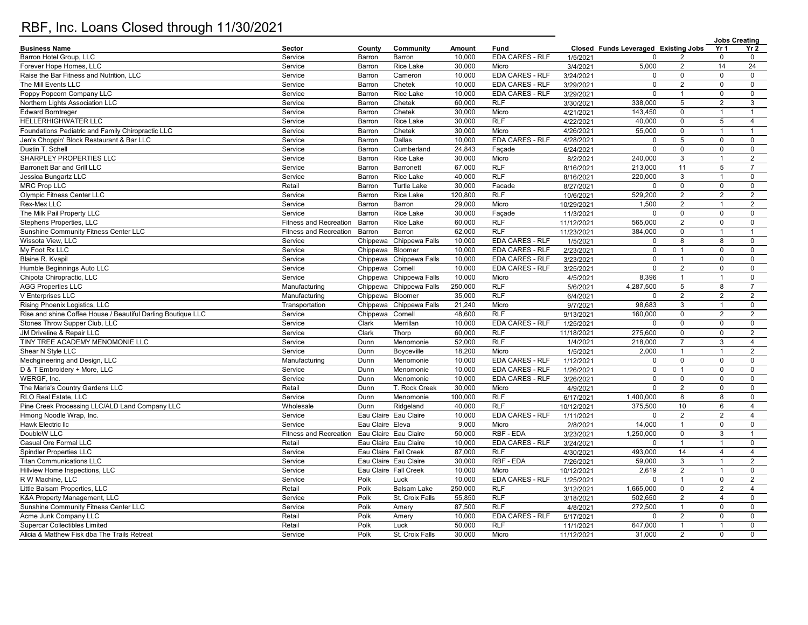## RBF, Inc. Loans Closed through 11/30/2021

|                                                              |                               |                  |                                                    |         |                        |            |                                      |                 | <b>Jobs Creating</b> |                     |
|--------------------------------------------------------------|-------------------------------|------------------|----------------------------------------------------|---------|------------------------|------------|--------------------------------------|-----------------|----------------------|---------------------|
| <b>Business Name</b>                                         | Sector                        | County           | Community                                          | Amount  | Fund                   |            | Closed Funds Leveraged Existing Jobs |                 | Yr 1                 | Yr 2                |
| Barron Hotel Group, LLC                                      | Service                       | Barron           | Barron                                             | 10.000  | EDA CARES - RLF        | 1/5/2021   |                                      |                 | $\mathbf 0$          | $\mathbf 0$         |
| Forever Hope Homes, LLC                                      | Service                       | Barron           | Rice Lake                                          | 30,000  | Micro                  | 3/4/2021   | 5,000                                | 2               | 14                   | 24                  |
| Raise the Bar Fitness and Nutrition, LLC                     | Service                       | Barron           | Cameron                                            | 10,000  | EDA CARES - RLF        | 3/24/2021  | $\mathbf 0$                          | $\mathsf 0$     | $\mathbf 0$          | $\mathsf{O}$        |
| The Mill Events LLC                                          | Service                       | Barron           | Chetek                                             | 10,000  | <b>EDA CARES - RLF</b> | 3/29/2021  | $\mathbf 0$                          | 2               | $\mathbf 0$          | $\mathsf{O}$        |
| Poppy Popcorn Company LLC                                    | Service                       | Barron           | Rice Lake                                          | 10,000  | <b>EDA CARES - RLF</b> | 3/29/2021  | $\mathbf 0$                          | $\overline{1}$  | $\mathsf 0$          | $\mathsf 0$         |
| Northern Lights Association LLC                              | Service                       | Barron           | Chetek                                             | 60,000  | <b>RLF</b>             | 3/30/2021  | 338,000                              | $\sqrt{5}$      | $\overline{2}$       | $\mathbf{3}$        |
| <b>Edward Borntreger</b>                                     | Service                       | Barron           | Chetek                                             | 30,000  | Micro                  | 4/21/2021  | 143,450                              | $\mathbf 0$     | $\mathbf{1}$         | $\mathbf{1}$        |
| HELLERHIGHWATER LLC                                          | Service                       | Barron           | Rice Lake                                          | 30,000  | RLF                    | 4/22/2021  | 40,000                               | $\mathbf 0$     | $\sqrt{5}$           | $\overline{4}$      |
| Foundations Pediatric and Family Chiropractic LLC            | Service                       | Barron           | Chetek                                             | 30,000  | Micro                  | 4/26/2021  | 55,000                               | $\mathsf 0$     | $\mathbf{1}$         | $\mathbf{1}$        |
| Jen's Choppin' Block Restaurant & Bar LLC                    | Service                       | Barron           | Dallas                                             | 10,000  | <b>EDA CARES - RLF</b> | 4/28/2021  | $\Omega$                             | $\overline{5}$  | $\mathsf 0$          | $\mathsf{O}\xspace$ |
| Dustin T. Schell                                             | Service                       | Barron           | Cumberland                                         | 24,843  | Façade                 | 6/24/2021  | $\mathbf 0$                          | $\mathsf 0$     | $\mathsf 0$          | $\mathbf 0$         |
| SHARPLEY PROPERTIES LLC                                      | Service                       | Barron           | Rice Lake                                          | 30,000  | Micro                  | 8/2/2021   | 240,000                              | $\mathbf{3}$    | $\overline{1}$       | 2                   |
| Barronett Bar and Grill LLC                                  | Service                       | Barron           | Barronett                                          | 67,000  | <b>RLF</b>             | 8/16/2021  | 213,000                              | 11              | 5                    | $\overline{7}$      |
| Jessica Bungartz LLC                                         | Service                       | Barron           | <b>Rice Lake</b>                                   | 40,000  | RLF                    | 8/16/2021  | 220,000                              | $\mathbf{3}$    | $\mathbf{1}$         | $\mathbf 0$         |
| <b>MRC Prop LLC</b>                                          | Retail                        | Barron           | <b>Turtle Lake</b>                                 | 30,000  | Facade                 | 8/27/2021  | $\mathbf 0$                          | $\mathbf 0$     | 0                    | $\mathbf 0$         |
| <b>Olympic Fitness Center LLC</b>                            | Service                       | Barron           | Rice Lake                                          | 120,800 | <b>RLF</b>             | 10/6/2021  | 529,200                              | $\overline{2}$  | $\overline{2}$       | $\overline{2}$      |
| Rex-Mex LLC                                                  | Service                       | Barron           | Barron                                             | 29,000  | Micro                  | 10/29/2021 | 1,500                                | 2               | $\overline{1}$       | 2                   |
| The Milk Pail Property LLC                                   | Service                       | Barron           | <b>Rice Lake</b>                                   | 30,000  | Façade                 | 11/3/2021  | $\Omega$                             | $\mathbf 0$     | $\mathbf 0$          | $\mathbf 0$         |
| Stephens Properties, LLC                                     | <b>Fitness and Recreation</b> | Barron           | Rice Lake                                          | 60,000  | <b>RLF</b>             | 11/12/2021 | 565,000                              | 2               | $\mathbf 0$          | $\mathbf 0$         |
| Sunshine Community Fitness Center LLC                        | <b>Fitness and Recreation</b> | Barron           | Barron                                             | 62,000  | <b>RLF</b>             | 11/23/2021 | 384,000                              | $\mathbf 0$     | $\mathbf{1}$         | $\mathbf{1}$        |
| Wissota View, LLC                                            | Service                       |                  | Chippewa Chippewa Falls                            | 10,000  | <b>EDA CARES - RLF</b> | 1/5/2021   | $\mathbf 0$                          | 8               | 8                    | $\mathbf 0$         |
| My Foot Rx LLC                                               | Service                       | Chippewa Bloomer |                                                    | 10,000  | <b>EDA CARES - RLF</b> | 2/23/2021  | $\mathbf 0$                          | $\overline{1}$  | $\mathsf 0$          | $\mathbf 0$         |
| Blaine R. Kvapil                                             | Service                       |                  | Chippewa Chippewa Falls                            | 10,000  | <b>EDA CARES - RLF</b> | 3/23/2021  | $\mathbf 0$                          | $\mathbf{1}$    | $\mathbf 0$          | $\mathbf 0$         |
| Humble Beginnings Auto LLC                                   | Service                       | Chippewa Cornell |                                                    | 10,000  | <b>EDA CARES - RLF</b> |            | $\Omega$                             | $\overline{2}$  | $\mathbf 0$          | $\mathbf 0$         |
| Chipota Chiropractic, LLC                                    | Service                       |                  |                                                    | 10,000  | Micro                  | 3/25/2021  | 8,396                                | $\overline{1}$  | $\mathbf{1}$         | $\mathbf 0$         |
| <b>AGG Properties LLC</b>                                    | Manufacturing                 |                  | Chippewa Chippewa Falls<br>Chippewa Chippewa Falls | 250,000 | <b>RLF</b>             | 4/5/2021   | 4,287,500                            | $5\phantom{.0}$ | 8                    | $\overline{7}$      |
|                                                              |                               |                  |                                                    |         | <b>RLF</b>             | 5/6/2021   |                                      | 2               | $\overline{2}$       | 2                   |
| V Enterprises LLC                                            | Manufacturing                 | Chippewa Bloomer |                                                    | 35,000  |                        | 6/4/2021   | $\mathbf 0$                          |                 |                      |                     |
| Rising Phoenix Logistics, LLC                                | Transportation                |                  | Chippewa Chippewa Falls                            | 21,240  | Micro                  | 9/7/2021   | 98,683                               | 3               | $\overline{1}$       | $\mathbf{0}$        |
| Rise and shine Coffee House / Beautiful Darling Boutique LLC | Service                       | Chippewa Cornell |                                                    | 48,600  | <b>RLF</b>             | 9/13/2021  | 160,000                              | $\mathbf 0$     | 2                    | 2                   |
| Stones Throw Supper Club, LLC                                | Service                       | Clark            | Merrillan                                          | 10,000  | <b>EDA CARES - RLF</b> | 1/25/2021  | $\Omega$                             | $\mathbf 0$     | $\mathbf 0$          | $\mathbf 0$         |
| JM Driveline & Repair LLC                                    | Service                       | Clark            | Thorp                                              | 60,000  | <b>RLF</b>             | 11/18/2021 | 275,600                              | $\mathbf 0$     | $\mathbf 0$          | 2                   |
| TINY TREE ACADEMY MENOMONIE LLC                              | Service                       | Dunn             | Menomonie                                          | 52,000  | <b>RLF</b>             | 1/4/2021   | 218,000                              | $\overline{7}$  | $\mathbf{3}$         | $\overline{4}$      |
| Shear N Style LLC                                            | Service                       | Dunn             | Boyceville                                         | 18,200  | Micro                  | 1/5/2021   | 2,000                                | $\overline{1}$  | $\overline{1}$       | $\overline{2}$      |
| Mechgineering and Design, LLC                                | Manufacturing                 | Dunn             | Menomonie                                          | 10,000  | EDA CARES - RLF        | 1/12/2021  | $\Omega$                             | $\mathsf 0$     | $\mathsf 0$          | $\mathsf 0$         |
| D & T Embroidery + More, LLC                                 | Service                       | Dunn             | Menomonie                                          | 10,000  | EDA CARES - RLF        | 1/26/2021  | $\mathbf 0$                          | $\overline{1}$  | $\mathbf 0$          | $\mathbf 0$         |
| WERGF, Inc.                                                  | Service                       | Dunn             | Menomonie                                          | 10,000  | EDA CARES - RLF        | 3/26/2021  | $\mathbf 0$                          | $\mathbf 0$     | $\mathbf 0$          | $\mathbf 0$         |
| The Maria's Country Gardens LLC                              | Retail                        | Dunn             | T. Rock Creek                                      | 30,000  | Micro                  | 4/9/2021   | $\mathbf 0$                          | $\overline{2}$  | $\mathbf 0$          | $\mathsf 0$         |
| RLO Real Estate, LLC                                         | Service                       | Dunn             | Menomonie                                          | 100,000 | <b>RLF</b>             | 6/17/2021  | 1,400,000                            | $\overline{8}$  | 8                    | $\mathsf 0$         |
| Pine Creek Processing LLC/ALD Land Company LLC               | Wholesale                     | Dunn             | Ridgeland                                          | 40,000  | <b>RLF</b>             | 10/12/2021 | 375,500                              | 10              | 6                    | $\overline{4}$      |
| Hmong Noodle Wrap, Inc.                                      | Service                       |                  | Eau Claire Eau Claire                              | 10,000  | <b>EDA CARES - RLF</b> | 1/11/2021  | $\mathbf 0$                          | $\overline{2}$  | $\overline{2}$       | $\overline{4}$      |
| Hawk Electric IIc                                            | Service                       | Eau Claire Eleva |                                                    | 9,000   | Micro                  | 2/8/2021   | 14,000                               | $\overline{1}$  | 0                    | $\mathsf 0$         |
| DoubleW LLC                                                  | <b>Fitness and Recreation</b> |                  | Eau Claire Eau Claire                              | 50,000  | RBF - EDA              | 3/23/2021  | 1,250,000                            | $\mathsf 0$     | 3                    | $\mathbf{1}$        |
| Casual Ore Formal LLC                                        | Retail                        |                  | Eau Claire Eau Claire                              | 10,000  | EDA CARES - RLF        | 3/24/2021  | $\mathbf 0$                          | $\overline{1}$  | $\mathbf{1}$         | $\mathbf 0$         |
| <b>Spindler Properties LLC</b>                               | Service                       |                  | Eau Claire Fall Creek                              | 87,000  | RLF                    | 4/30/2021  | 493,000                              | 14              | $\overline{4}$       | $\overline{4}$      |
| <b>Titan Communications LLC</b>                              | Service                       |                  | Eau Claire Eau Claire                              | 30,000  | RBF - EDA              | 7/26/2021  | 59,000                               | 3               | $\mathbf{1}$         | $\overline{2}$      |
| Hillview Home Inspections, LLC                               | Service                       |                  | Eau Claire Fall Creek                              | 10,000  | Micro                  | 10/12/2021 | 2,619                                | $\overline{2}$  | $\mathbf{1}$         | $\mathbf{0}$        |
| R W Machine, LLC                                             | Service                       | Polk             | Luck                                               | 10,000  | <b>EDA CARES - RLF</b> | 1/25/2021  | $\Omega$                             | $\mathbf{1}$    | 0                    | 2                   |
| Little Balsam Properties, LLC                                | Retail                        | Polk             | <b>Balsam Lake</b>                                 | 250,000 | <b>RLF</b>             | 3/12/2021  | 1,665,000                            | $\mathbf 0$     | 2                    | $\overline{4}$      |
| K&A Property Management, LLC                                 | Service                       | Polk             | St. Croix Falls                                    | 55,850  | <b>RLF</b>             | 3/18/2021  | 502,650                              | 2               | $\overline{4}$       | $\mathbf 0$         |
| Sunshine Community Fitness Center LLC                        | Service                       | Polk             | Amery                                              | 87,500  | <b>RLF</b>             | 4/8/2021   | 272,500                              | $\overline{1}$  | $\mathbf 0$          | $\mathbf 0$         |
| Acme Junk Company LLC                                        | Retail                        | Polk             | Amery                                              | 10,000  | EDA CARES - RLF        | 5/17/2021  | $\Omega$                             | 2               | $\mathbf 0$          | $\mathbf 0$         |
| <b>Supercar Collectibles Limited</b>                         | Retail                        | Polk             | Luck                                               | 50,000  | <b>RLF</b>             | 11/1/2021  | 647,000                              | $\overline{1}$  | $\overline{1}$       | $\mathbf 0$         |
| Alicia & Matthew Fisk dba The Trails Retreat                 | Service                       | Polk             | St. Croix Falls                                    | 30,000  | Micro                  | 11/12/2021 | 31.000                               | 2               | $\Omega$             | $\Omega$            |